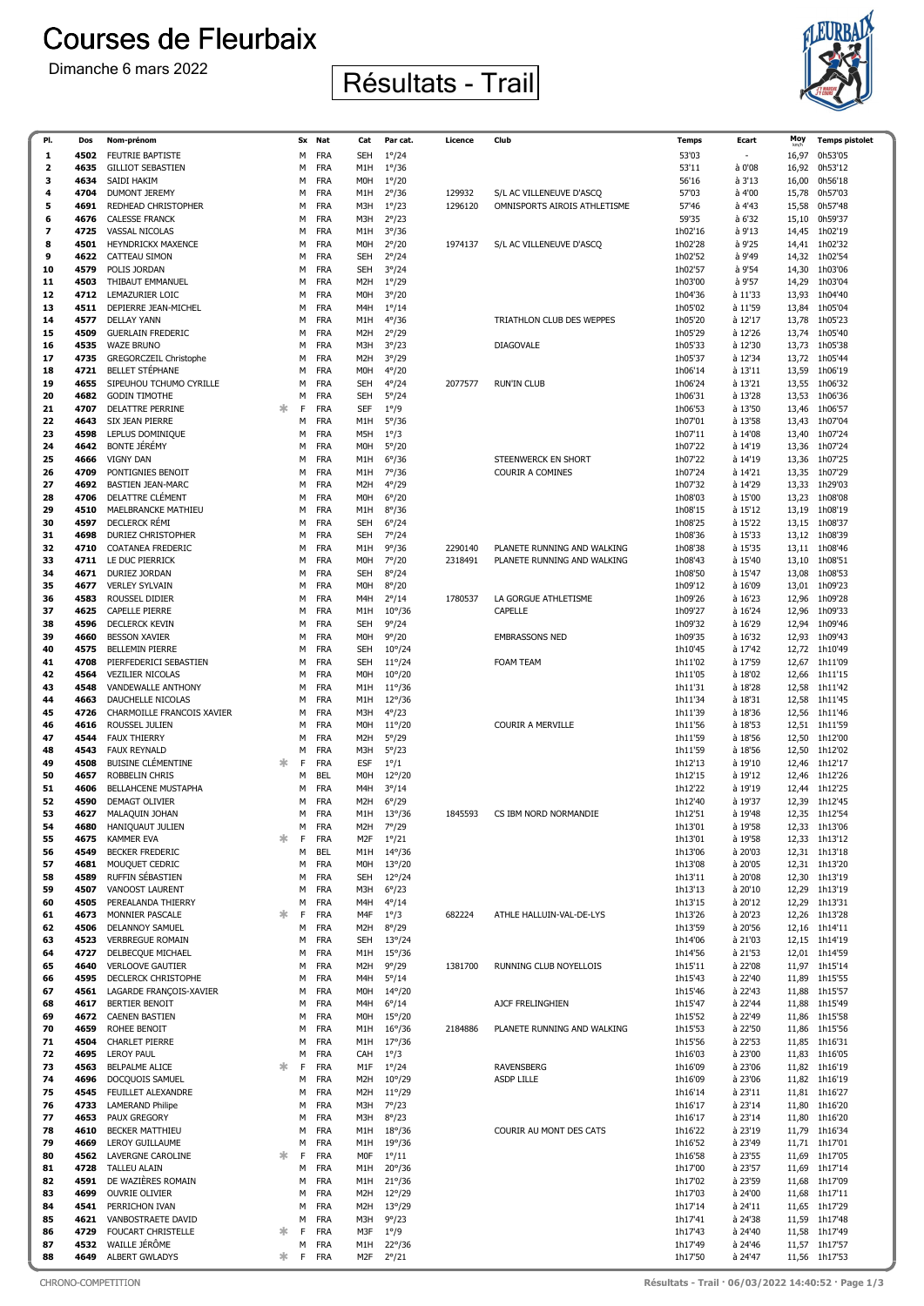## **Courses de Fleurbaix**





| PI.          | Dos          | Nom-prénom                                  |   | Sx     | Nat                      | Cat                      | Par cat.                           | Licence | Club                            | Temps              | Ecart              | Moy            | <b>Temps pistolet</b>    |
|--------------|--------------|---------------------------------------------|---|--------|--------------------------|--------------------------|------------------------------------|---------|---------------------------------|--------------------|--------------------|----------------|--------------------------|
| 1            | 4502         | <b>FEUTRIE BAPTISTE</b>                     |   | M      | <b>FRA</b>               | <b>SEH</b>               | $1^{\circ}/24$                     |         |                                 | 53'03              |                    | 16,97          | 0h53'05                  |
| $\mathbf{z}$ | 4635         | <b>GILLIOT SEBASTIEN</b>                    |   | М      | <b>FRA</b>               | M1H                      | $1^{\circ}/36$                     |         |                                 | 53'11              | à 0'08             | 16,92          | 0h53'12                  |
| з            | 4634         | SAIDI HAKIM                                 |   | М      | <b>FRA</b>               | MOH                      | $1^{\circ}/20$                     |         |                                 | 56'16              | à 3'13             | 16,00          | 0h56'18                  |
| 4            | 4704         | <b>DUMONT JEREMY</b>                        |   | М      | <b>FRA</b>               | M1H                      | $2^{\circ}/36$                     | 129932  | S/L AC VILLENEUVE D'ASCQ        | 57'03              | à 4'00             | 15,78          | 0h57'03                  |
| 5            | 4691         | REDHEAD CHRISTOPHER                         |   | М      | <b>FRA</b>               | M3H                      | $1^{\circ}/23$                     | 1296120 | OMNISPORTS AIROIS ATHLETISME    | 57'46              | à 4'43             | 15,58          | 0h57'48                  |
| 6            | 4676         | <b>CALESSE FRANCK</b>                       |   | М      | <b>FRA</b>               | M3H                      | $2^{\circ}/23$                     |         |                                 | 59'35              | à 6'32             | 15,10          | 0h59'37                  |
| 7            | 4725         | <b>VASSAL NICOLAS</b>                       |   | М      | <b>FRA</b>               | M1H                      | $3^{\circ}/36$                     |         |                                 | 1h02'16            | à 9'13             | 14,45          | 1h02'19                  |
| 8<br>9       | 4501         | <b>HEYNDRICKX MAXENCE</b>                   |   | М      | <b>FRA</b>               | M0H                      | $2^{\circ}/20$                     | 1974137 | S/L AC VILLENEUVE D'ASCQ        | 1h02'28            | à 9'25             | 14,41          | 1h02'32                  |
| 10           | 4622<br>4579 | CATTEAU SIMON<br>POLIS JORDAN               |   | М<br>М | <b>FRA</b><br><b>FRA</b> | <b>SEH</b><br><b>SEH</b> | $2^{\circ}/24$<br>$3^{\circ}/24$   |         |                                 | 1h02'52<br>1h02'57 | à 9'49<br>à 9'54   | 14,32<br>14,30 | 1h02'54<br>1h03'06       |
| 11           | 4503         | THIBAUT EMMANUEL                            |   | М      | <b>FRA</b>               | M2H                      | $1^{\circ}/29$                     |         |                                 | 1h03'00            | à 9'57             | 14,29          | 1h03'04                  |
| 12           | 4712         | LEMAZURIER LOIC                             |   | M      | <b>FRA</b>               | MOH                      | $3^{\circ}/20$                     |         |                                 | 1h04'36            | à 11'33            | 13,93          | 1h04'40                  |
| 13           | 4511         | DEPIERRE JEAN-MICHEL                        |   | М      | <b>FRA</b>               | M4H                      | $1^{\circ}/14$                     |         |                                 | 1h05'02            | à 11'59            | 13,84          | 1h05'04                  |
| 14           | 4577         | <b>DELLAY YANN</b>                          |   | М      | <b>FRA</b>               | M1H                      | $4^{\circ}/36$                     |         | TRIATHLON CLUB DES WEPPES       | 1h05'20            | à 12'17            | 13,78          | 1h05'23                  |
| 15           | 4509         | <b>GUERLAIN FREDERIC</b>                    |   | М      | <b>FRA</b>               | M2H                      | $2^{\circ}/29$                     |         |                                 | 1h05'29            | à 12'26            | 13,74          | 1h05'40                  |
| 16           | 4535         | <b>WAZE BRUNO</b>                           |   | М      | <b>FRA</b>               | M3H                      | $3^{\circ}/23$                     |         | DIAGOVALE                       | 1h05'33            | à 12'30            | 13,73          | 1h05'38                  |
| 17           | 4735         | GREGORCZEIL Christophe                      |   | M      | <b>FRA</b>               | M2H                      | $3^{\circ}/29$                     |         |                                 | 1h05'37            | à 12'34            | 13,72          | 1h05'44                  |
| 18           | 4721         | <b>BELLET STÉPHANE</b>                      |   | М      | <b>FRA</b>               | M0H                      | $4^{\circ}/20$                     |         |                                 | 1h06'14            | à 13'11            | 13,59          | 1h06'19                  |
| 19           | 4655         | SIPEUHOU TCHUMO CYRILLE                     |   | М      | <b>FRA</b>               | SEH                      | $4^{\circ}/24$                     | 2077577 | <b>RUN'IN CLUB</b>              | 1h06'24            | à 13'21            | 13,55          | 1h06'32                  |
| 20           | 4682         | <b>GODIN TIMOTHE</b>                        |   | М      | <b>FRA</b>               | <b>SEH</b>               | $5^{\circ}/24$                     |         |                                 | 1h06'31            | à 13'28            | 13,53          | 1h06'36                  |
| 21           | 4707         | <b>DELATTRE PERRINE</b>                     | 氺 | F      | <b>FRA</b>               | <b>SEF</b>               | $1^{\circ}/9$                      |         |                                 | 1h06'53            | à 13'50            | 13,46          | 1h06'57                  |
| 22<br>23     | 4643<br>4598 | SIX JEAN PIERRE<br>LEPLUS DOMINIQUE         |   | М<br>М | <b>FRA</b><br><b>FRA</b> | M1H<br>M5H               | $5^{\circ}/36$<br>$1^{\circ}/3$    |         |                                 | 1h07'01<br>1h07'11 | à 13'58<br>à 14'08 | 13,43<br>13,40 | 1h07'04<br>1h07'24       |
| 24           | 4642         | <b>BONTE JÉRÉMY</b>                         |   | М      | <b>FRA</b>               | M0H                      | $5^{\circ}/20$                     |         |                                 | 1h07'22            | à 14'19            | 13,36          | 1h07'24                  |
| 25           | 4666         | <b>VIGNY DAN</b>                            |   | М      | <b>FRA</b>               | M1H                      | $6^{\circ}/36$                     |         | STEENWERCK EN SHORT             | 1h07'22            | à 14'19            | 13,36          | 1h07'25                  |
| 26           | 4709         | PONTIGNIES BENOIT                           |   | М      | <b>FRA</b>               | M1H                      | $7^{\circ}/36$                     |         | <b>COURIR A COMINES</b>         | 1h07'24            | à 14'21            | 13,35          | 1h07'29                  |
| 27           | 4692         | <b>BASTIEN JEAN-MARC</b>                    |   | М      | <b>FRA</b>               | M2H                      | $4^{\circ}/29$                     |         |                                 | 1h07'32            | à 14'29            | 13,33          | 1h29'03                  |
| 28           | 4706         | DELATTRE CLÉMENT                            |   | М      | <b>FRA</b>               | MOH                      | $6^{\circ}/20$                     |         |                                 | 1h08'03            | à 15'00            | 13,23          | 1h08'08                  |
| 29           | 4510         | <b>MAELBRANCKE MATHIEU</b>                  |   | М      | <b>FRA</b>               | M1H                      | $8^{\circ}/36$                     |         |                                 | 1h08'15            | à 15'12            | 13,19          | 1h08'19                  |
| 30           | 4597         | DECLERCK RÉMI                               |   | M      | <b>FRA</b>               | <b>SEH</b>               | $6^{\circ}/24$                     |         |                                 | 1h08'25            | à 15'22            | 13,15          | 1h08'37                  |
| 31           | 4698         | DURIEZ CHRISTOPHER                          |   | М      | <b>FRA</b>               | <b>SEH</b>               | $7^{\circ}/24$                     |         |                                 | 1h08'36            | à 15'33            | 13,12          | 1h08'39                  |
| 32           | 4710         | <b>COATANEA FREDERIC</b>                    |   | М      | <b>FRA</b>               | M1H                      | $9^{\circ}/36$                     | 2290140 | PLANETE RUNNING AND WALKING     | 1h08'38            | à 15'35            | 13,11          | 1h08'46                  |
| 33           | 4711         | LE DUC PIERRICK                             |   | М      | <b>FRA</b>               | M0H                      | $7^{\circ}/20$                     | 2318491 | PLANETE RUNNING AND WALKING     | 1h08'43            | à 15'40            | 13,10          | 1h08'51                  |
| 34           | 4671         | <b>DURIEZ JORDAN</b>                        |   | М      | <b>FRA</b>               | SEH                      | $8^{\circ}/24$                     |         |                                 | 1h08'50            | à 15'47            | 13,08          | 1h08'53                  |
| 35           | 4677         | <b>VERLEY SYLVAIN</b>                       |   | М      | <b>FRA</b>               | M0H                      | $8^{\circ}/20$                     |         |                                 | 1h09'12            | à 16'09            | 13,01          | 1h09'23                  |
| 36<br>37     | 4583<br>4625 | ROUSSEL DIDIER<br><b>CAPELLE PIERRE</b>     |   | М<br>М | <b>FRA</b><br><b>FRA</b> | M4H<br>M1H               | $2^{\circ}/14$<br>$10^{\circ}/36$  | 1780537 | LA GORGUE ATHLETISME<br>CAPELLE | 1h09'26<br>1h09'27 | à 16'23<br>à 16'24 | 12,96<br>12,96 | 1h09'28<br>1h09'33       |
| 38           | 4596         | DECLERCK KEVIN                              |   | М      | <b>FRA</b>               | <b>SEH</b>               | 9°/24                              |         |                                 | 1h09'32            | à 16'29            | 12,94          | 1h09'46                  |
| 39           | 4660         | <b>BESSON XAVIER</b>                        |   | М      | <b>FRA</b>               | MOH                      | $9^{\circ}/20$                     |         | <b>EMBRASSONS NED</b>           | 1h09'35            | à 16'32            | 12,93          | 1h09'43                  |
| 40           | 4575         | <b>BELLEMIN PIERRE</b>                      |   | М      | <b>FRA</b>               | <b>SEH</b>               | $10^{\circ}/24$                    |         |                                 | 1h10'45            | à 17'42            |                | 12,72 1h10'49            |
| 41           | 4708         | PIERFEDERICI SEBASTIEN                      |   | М      | <b>FRA</b>               | <b>SEH</b>               | $11^{\circ}/24$                    |         | FOAM TEAM                       | 1h11'02            | à 17'59            | 12,67          | 1h11'09                  |
| 42           | 4564         | <b>VEZILIER NICOLAS</b>                     |   | М      | <b>FRA</b>               | M0H                      | $10^{\circ}/20$                    |         |                                 | 1h11'05            | à 18'02            | 12,66          | 1h11'15                  |
| 43           | 4548         | VANDEWALLE ANTHONY                          |   | М      | <b>FRA</b>               | M1H                      | $11^{\circ}/36$                    |         |                                 | 1h11'31            | à 18'28            | 12,58          | 1h11'42                  |
| 44           | 4663         | DAUCHELLE NICOLAS                           |   | M      | <b>FRA</b>               | M1H                      | $12^{\circ}/36$                    |         |                                 | 1h11'34            | à 18'31            | 12,58          | 1h11'45                  |
| 45           | 4726         | CHARMOILLE FRANCOIS XAVIER                  |   | М      | <b>FRA</b>               | M3H                      | $4^{\circ}/23$                     |         |                                 | 1h11'39            | à 18'36            | 12,56          | 1h11'46                  |
| 46           | 4616         | ROUSSEL JULIEN                              |   | М      | <b>FRA</b>               | MOH                      | $11^{\circ}/20$                    |         | COURIR A MERVILLE               | 1h11'56            | à 18'53            | 12,51          | 1h11'59                  |
| 47           | 4544         | <b>FAUX THIERRY</b>                         |   | М      | <b>FRA</b>               | M2H                      | $5^{\circ}/29$                     |         |                                 | 1h11'59            | à 18'56            | 12,50          | 1h12'00                  |
| 48<br>49     | 4543         | <b>FAUX REYNALD</b>                         |   | М      | <b>FRA</b>               | M3H                      | $5^{\circ}/23$                     |         |                                 | 1h11'59            | à 18'56            | 12,50          | 1h12'02                  |
| 50           | 4508<br>4657 | <b>BUISINE CLÉMENTINE</b><br>ROBBELIN CHRIS | 氺 | F<br>М | <b>FRA</b><br><b>BEL</b> | <b>ESF</b><br>M0H        | $1^{\circ}/1$<br>$12^{\circ}/20$   |         |                                 | 1h12'13<br>1h12'15 | à 19'10<br>à 19'12 | 12,46<br>12,46 | 1h12'17<br>1h12'26       |
| 51           | 4606         | <b>BELLAHCENE MUSTAPHA</b>                  |   | M      | <b>FRA</b>               | M4H                      | $3^{\circ}/14$                     |         |                                 | 1h12'22            | à 19'19            |                | 12,44 1h12'25            |
| 52           | 4590         | <b>DEMAGT OLIVIER</b>                       |   | М      | <b>FRA</b>               | M <sub>2</sub> H         | $6^{\circ}/29$                     |         |                                 | 1h12'40            | à 19'37            | 12,39          | 1h12'45                  |
| 53           | 4627         | MALAQUIN JOHAN                              |   | М      | <b>FRA</b>               | M1H                      | $13^{\circ}/36$                    | 1845593 | CS IBM NORD NORMANDIE           | 1h12'51            | à 19'48            |                | 12,35 1h12'54            |
| 54           | 4680         | <b>HANIOUAUT JULIEN</b>                     |   | М      | <b>FRA</b>               | M2H                      | $7^{\circ}/29$                     |         |                                 | 1h13'01            | à 19'58            |                | 12,33 1h13'06            |
| 55           | 4675         | <b>KAMMER EVA</b>                           | 氺 | F      | <b>FRA</b>               | M2F                      | $1^{\circ}/21$                     |         |                                 | 1h13'01            | à 19'58            |                | 12,33 1h13'12            |
| 56           | 4549         | <b>BECKER FREDERIC</b>                      |   | М      | BEL                      | M1H                      | $14^{\circ}/36$                    |         |                                 | 1h13'06            | à 20'03            |                | 12,31 1h13'18            |
| 57           | 4681         | MOUQUET CEDRIC                              |   | М      | <b>FRA</b>               | M0H                      | $13^{\circ}/20$                    |         |                                 | 1h13'08            | à 20'05            |                | 12,31 1h13'20            |
| 58           | 4589         | RUFFIN SÉBASTIEN                            |   | М      | <b>FRA</b>               | <b>SEH</b>               | $12^{\circ}/24$                    |         |                                 | 1h13'11            | à 20'08            |                | 12,30 1h13'19            |
| 59           | 4507         | VANOOST LAURENT                             |   | М      | <b>FRA</b>               | M3H                      | $6^{\circ}/23$                     |         |                                 | 1h13'13            | à 20'10            | 12,29          | 1h13'19                  |
| 60<br>61     | 4505<br>4673 | PEREALANDA THIERRY<br>MONNIER PASCALE       | 氺 | М<br>F | <b>FRA</b><br><b>FRA</b> | M4H<br>M4F               | $4^{\circ}/14$<br>$1^{\circ}/3$    | 682224  | ATHLE HALLUIN-VAL-DE-LYS        | 1h13'15<br>1h13'26 | à 20'12<br>à 20'23 | 12,29          | 1h13'31<br>12,26 1h13'28 |
| 62           | 4506         | DELANNOY SAMUEL                             |   | М      | <b>FRA</b>               | M2H                      | $8^{\circ}/29$                     |         |                                 | 1h13'59            | à 20'56            |                | 12,16 1h14'11            |
| 63           | 4523         | <b>VERBREGUE ROMAIN</b>                     |   | М      | <b>FRA</b>               | <b>SEH</b>               | $13^{\circ}/24$                    |         |                                 | 1h14'06            | à 21'03            | 12,15          | 1h14'19                  |
| 64           | 4727         | DELBECQUE MICHAEL                           |   | М      | <b>FRA</b>               | M1H                      | $15^{\circ}/36$                    |         |                                 | 1h14'56            | à 21'53            |                | 12,01 1h14'59            |
| 65           | 4640         | <b>VERLOOVE GAUTIER</b>                     |   | М      | <b>FRA</b>               | M <sub>2</sub> H         | 9°/29                              | 1381700 | RUNNING CLUB NOYELLOIS          | 1h15'11            | à 22'08            |                | 11,97 1h15'14            |
| 66           | 4595         | DECLERCK CHRISTOPHE                         |   | М      | <b>FRA</b>               | M4H                      | $5^{\circ}/14$                     |         |                                 | 1h15'43            | à 22'40            | 11,89          | 1h15'55                  |
| 67           | 4561         | LAGARDE FRANÇOIS-XAVIER                     |   | М      | <b>FRA</b>               | M0H                      | $14^{\circ}/20$                    |         |                                 | 1h15'46            | à 22'43            | 11,88          | 1h15'57                  |
| 68           | 4617         | <b>BERTIER BENOIT</b>                       |   | М      | <b>FRA</b>               | M4H                      | $6^{\circ}/14$                     |         | AJCF FRELINGHIEN                | 1h15'47            | à 22'44            | 11,88          | 1h15'49                  |
| 69           | 4672         | <b>CAENEN BASTIEN</b>                       |   | М      | <b>FRA</b>               | M0H                      | $15^{\circ}/20$                    |         |                                 | 1h15'52            | à 22'49            |                | 11,86 1h15'58            |
| 70<br>71     | 4659<br>4504 | ROHEE BENOIT<br><b>CHARLET PIERRE</b>       |   | М<br>M | <b>FRA</b><br><b>FRA</b> | M1H<br>M1H               | $16^{\circ}/36$<br>$17^{\circ}/36$ | 2184886 | PLANETE RUNNING AND WALKING     | 1h15'53<br>1h15'56 | à 22'50<br>à 22'53 | 11,86<br>11,85 | 1h15'56<br>1h16'31       |
| 72           | 4695         | <b>LEROY PAUL</b>                           |   | М      | <b>FRA</b>               | CAH                      | $1^{\circ}/3$                      |         |                                 | 1h16'03            | à 23'00            | 11,83          | 1h16'05                  |
| 73           | 4563         | BELPALME ALICE                              | 氺 | F      | <b>FRA</b>               | M1F                      | $1^{\circ}/24$                     |         | <b>RAVENSBERG</b>               | 1h16'09            | à 23'06            |                | 11,82 1h16'19            |
| 74           | 4696         | DOCQUOIS SAMUEL                             |   | М      | <b>FRA</b>               | M2H                      | $10^{\circ}/29$                    |         | <b>ASDP LILLE</b>               | 1h16'09            | à 23'06            | 11,82          | 1h16'19                  |
| 75           | 4545         | FEUILLET ALEXANDRE                          |   | М      | <b>FRA</b>               | M2H                      | $11^{\circ}/29$                    |         |                                 | 1h16'14            | à 23'11            |                | 11,81 1h16'27            |
| 76           | 4733         | <b>LAMERAND Philipe</b>                     |   | М      | <b>FRA</b>               | M3H                      | $7^{\circ}/23$                     |         |                                 | 1h16'17            | à 23'14            |                | 11,80 1h16'20            |
| 77           | 4653         | PAUX GREGORY                                |   | М      | <b>FRA</b>               | M3H                      | $8^{\circ}/23$                     |         |                                 | 1h16'17            | à 23'14            | 11,80          | 1h16'20                  |
| 78           | 4610         | <b>BECKER MATTHIEU</b>                      |   | М      | <b>FRA</b>               | M1H                      | $18^{\circ}/36$                    |         | COURIR AU MONT DES CATS         | 1h16'22            | à 23'19            | 11,79          | 1h16'34                  |
| 79           | 4669         | LEROY GUILLAUME                             |   | М      | <b>FRA</b>               | M1H                      | $19^{\circ}/36$                    |         |                                 | 1h16'52            | à 23'49            | 11,71          | 1h17'01                  |
| 80           | 4562         | LAVERGNE CAROLINE                           | 氺 | F      | <b>FRA</b>               | MOF                      | $1^{\circ}/11$                     |         |                                 | 1h16'58            | à 23'55            | 11,69          | 1h17'05                  |
| 81           | 4728         | <b>TALLEU ALAIN</b>                         |   | М      | <b>FRA</b>               | M1H                      | $20^{\circ}/36$                    |         |                                 | 1h17'00            | à 23'57            | 11,69          | 1h17'14                  |
| 82<br>83     | 4591<br>4699 | DE WAZIÈRES ROMAIN<br><b>OUVRIE OLIVIER</b> |   | М<br>М | <b>FRA</b><br><b>FRA</b> | M1H<br>M2H               | $21^{\circ}/36$<br>$12^{\circ}/29$ |         |                                 | 1h17'02<br>1h17'03 | à 23'59<br>à 24'00 | 11,68<br>11,68 | 1h17'09<br>1h17'11       |
| 84           | 4541         | PERRICHON IVAN                              |   | М      | <b>FRA</b>               | M2H                      | $13^{\circ}/29$                    |         |                                 | 1h17'14            | à 24'11            | 11,65          | 1h17'29                  |
| 85           | 4621         | VANBOSTRAETE DAVID                          |   | M      | <b>FRA</b>               | M3H                      | $9^{\circ}/23$                     |         |                                 | 1h17'41            | à 24'38            | 11,59          | 1h17'48                  |
| 86           | 4729         | <b>FOUCART CHRISTELLE</b>                   | 氺 | F      | <b>FRA</b>               | M3F                      | $1^{\circ}/9$                      |         |                                 | 1h17'43            | à 24'40            | 11,58          | 1h17'49                  |
| 87           | 4532         | WAILLE JÉRÔME                               |   | М      | FRA                      | M1H                      | $22^{\circ}/36$                    |         |                                 | 1h17'49            | à 24'46            |                | 11,57 1h17'57            |
| 88           | 4649         | ALBERT GWLADYS                              | ∗ | F      | <b>FRA</b>               | M2F                      | $2^{\circ}/21$                     |         |                                 | 1h17'50            | à 24'47            | 11,56          | 1h17'53                  |

CHRONO-COMPETITION Résultats - Trail · 06/03/2022 14:40:52 · Page 1/3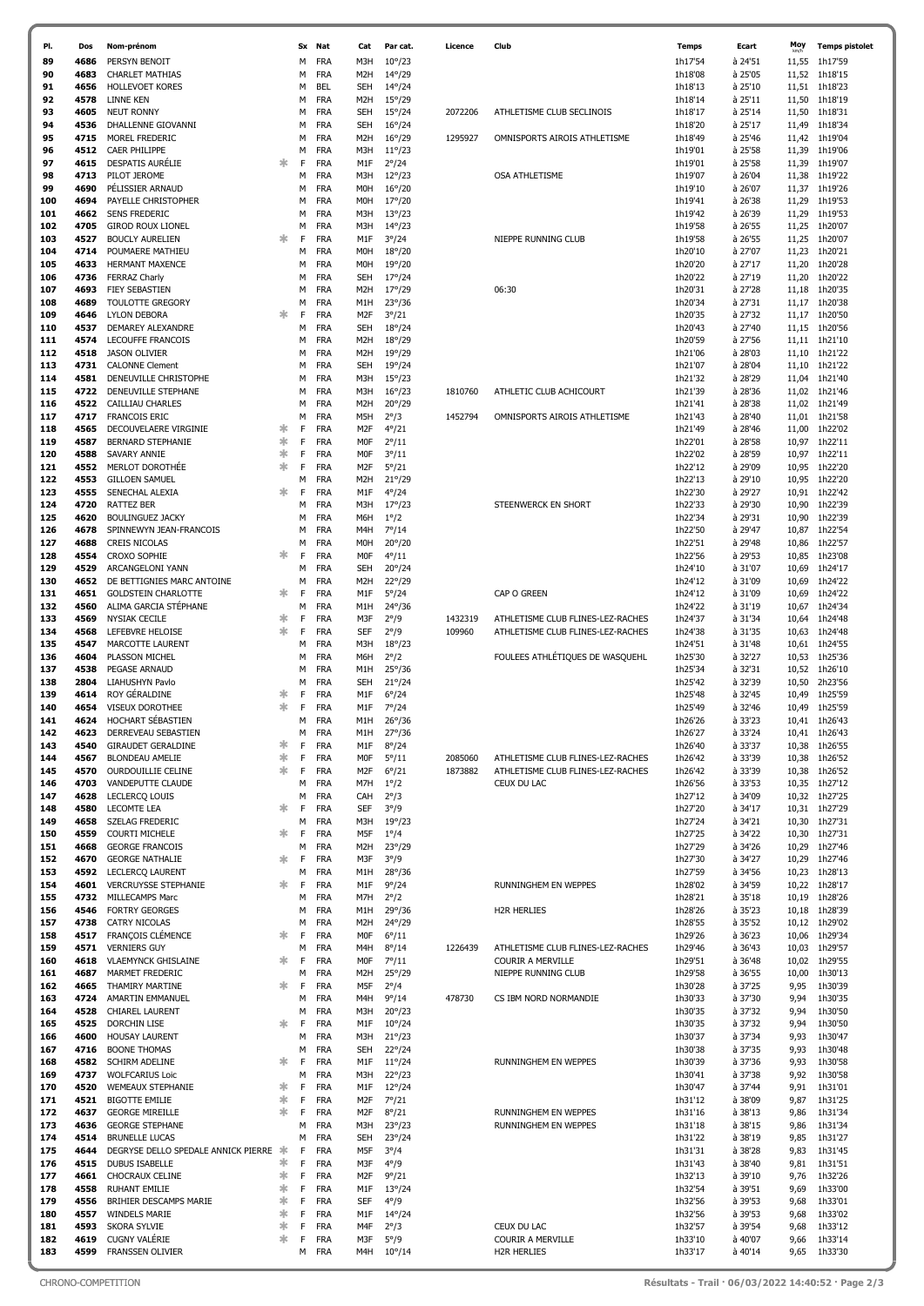| PI.        | Dos          | Nom-prénom                                         |        | Sx     | Nat                      | Cat                            | Par cat.                           | Licence | Club                              | <b>Temps</b>       | Ecart              | Moy            | <b>Temps pistolet</b>          |
|------------|--------------|----------------------------------------------------|--------|--------|--------------------------|--------------------------------|------------------------------------|---------|-----------------------------------|--------------------|--------------------|----------------|--------------------------------|
| 89         | 4686         | PERSYN BENOIT                                      |        | M      | <b>FRA</b>               | M3H                            | $10^{\circ}/23$                    |         |                                   | 1h17'54            | à 24'51            | 11,55          | 1h17'59                        |
| 90         | 4683         | <b>CHARLET MATHIAS</b>                             |        | М      | <b>FRA</b>               | M <sub>2</sub> H               | $14^{\circ}/29$                    |         |                                   | 1h18'08            | à 25'05            | 11,52          | 1h18'15                        |
| 91         | 4656         | <b>HOLLEVOET KORES</b>                             |        | М      | <b>BEL</b>               | SEH                            | $14^{\circ}/24$                    |         |                                   | 1h18'13            | à 25'10            | 11,51          | 1h18'23                        |
| 92         | 4578         | LINNE KEN                                          |        | М      | <b>FRA</b>               | M <sub>2</sub> H               | $15^{\circ}/29$                    |         |                                   | 1h18'14            | à 25'11            | 11,50          | 1h18'19                        |
| 93         | 4605         | <b>NEUT RONNY</b>                                  |        | М      | <b>FRA</b>               | SEH                            | $15^{\circ}/24$                    | 2072206 | ATHLETISME CLUB SECLINOIS         | 1h18'17            | à 25'14            | 11,50          | 1h18'31                        |
| 94         | 4536         | DHALLENNE GIOVANNI                                 |        | М      | <b>FRA</b>               | SEH                            | $16^{\circ}/24$                    |         |                                   | 1h18'20            | à 25'17            | 11,49          | 1h18'34                        |
| 95         | 4715         | MOREL FREDERIC                                     |        | M      | <b>FRA</b>               | M <sub>2</sub> H               | $16^{\circ}/29$                    | 1295927 | OMNISPORTS AIROIS ATHLETISME      | 1h18'49            | à 25'46            | 11,42          | 1h19'04                        |
| 96         | 4512         | <b>CAER PHILIPPE</b>                               |        | М      | <b>FRA</b>               | M3H                            | $11^{\circ}/23$                    |         |                                   | 1h19'01            | à 25'58            | 11,39          | 1h19'06                        |
| 97         | 4615         | <b>DESPATIS AURELIE</b>                            | 氺      | F      | <b>FRA</b>               | M1F                            | $2^{\circ}/24$                     |         |                                   | 1h19'01            | à 25'58            | 11,39          | 1h19'07                        |
| 98<br>99   | 4713<br>4690 | PILOT JEROME<br>PÉLISSIER ARNAUD                   |        | М<br>M | <b>FRA</b><br><b>FRA</b> | M3H<br>M <sub>O</sub> H        | $12^{\circ}/23$<br>$16^{\circ}/20$ |         | OSA ATHLETISME                    | 1h19'07<br>1h19'10 | à 26'04<br>à 26'07 | 11,38<br>11,37 | 1h19'22<br>1h19'26             |
| 100        | 4694         | PAYELLE CHRISTOPHER                                |        | М      | <b>FRA</b>               | M <sub>O</sub> H               | $17^{\circ}/20$                    |         |                                   | 1h19'41            | à 26'38            | 11,29          | 1h19'53                        |
| 101        | 4662         | <b>SENS FREDERIC</b>                               |        | М      | <b>FRA</b>               | M3H                            | $13^{\circ}/23$                    |         |                                   | 1h19'42            | à 26'39            | 11,29          | 1h19'53                        |
| 102        | 4705         | <b>GIROD ROUX LIONEL</b>                           |        | M      | <b>FRA</b>               | M3H                            | $14^{\circ}/23$                    |         |                                   | 1h19'58            | à 26'55            | 11,25          | 1h20'07                        |
| 103        | 4527         | <b>BOUCLY AURELIEN</b>                             | 氺      | F      | <b>FRA</b>               | M1F                            | $3^{\circ}/24$                     |         | NIEPPE RUNNING CLUB               | 1h19'58            | à 26'55            | 11,25          | 1h20'07                        |
| 104        | 4714         | POUMAERE MATHIEU                                   |        | М      | <b>FRA</b>               | M <sub>O</sub> H               | $18^{\circ}/20$                    |         |                                   | 1h20'10            | à 27'07            | 11,23          | 1h20'21                        |
| 105        | 4633         | <b>HERMANT MAXENCE</b>                             |        | М      | <b>FRA</b>               | M0H                            | $19^{\circ}/20$                    |         |                                   | 1h20'20            | à 27'17            | 11,20          | 1h20'28                        |
| 106        | 4736         | <b>FERRAZ Charly</b>                               |        | M      | <b>FRA</b>               | SEH                            | $17^{\circ}/24$                    |         |                                   | 1h20'22            | à 27'19            | 11,20          | 1h20'22                        |
| 107        | 4693         | <b>FIEY SEBASTIEN</b>                              |        | М      | <b>FRA</b>               | M <sub>2</sub> H               | $17^{\circ}/29$                    |         | 06:30                             | 1h20'31            | à 27'28            | 11,18          | 1h20'35                        |
| 108        | 4689         | <b>TOULOTTE GREGORY</b>                            |        | М      | <b>FRA</b>               | M1H                            | $23^{\circ}/36$                    |         |                                   | 1h20'34            | à 27'31            | 11,17          | 1h20'38                        |
| 109        | 4646         | LYLON DEBORA                                       | 氺      | F      | <b>FRA</b>               | M2F                            | $3^{\circ}/21$                     |         |                                   | 1h20'35            | à 27'32            | 11,17          | 1h20'50                        |
| 110        | 4537         | DEMAREY ALEXANDRE                                  |        | M      | <b>FRA</b>               | SEH                            | $18^{\circ}/24$                    |         |                                   | 1h20'43            | à 27'40            | 11,15          | 1h20'56                        |
| 111        | 4574         | LECOUFFE FRANCOIS                                  |        | М      | <b>FRA</b>               | M <sub>2</sub> H               | $18^{\circ}/29$                    |         |                                   | 1h20'59            | à 27'56            |                | 11,11 1h21'10                  |
| 112<br>113 | 4518<br>4731 | <b>JASON OLIVIER</b><br><b>CALONNE Clement</b>     |        | М<br>M | <b>FRA</b><br><b>FRA</b> | M <sub>2</sub> H<br>SEH        | $19^{\circ}/29$<br>$19^{\circ}/24$ |         |                                   | 1h21'06<br>1h21'07 | à 28'03<br>à 28'04 | 11,10<br>11,10 | 1h21'22<br>1h21'22             |
| 114        | 4581         | DENEUVILLE CHRISTOPHE                              |        | М      | <b>FRA</b>               | M3H                            | $15^{\circ}/23$                    |         |                                   | 1h21'32            | à 28'29            | 11,04          | 1h21'40                        |
| 115        | 4722         | DENEUVILLE STEPHANE                                |        | М      | <b>FRA</b>               | M3H                            | $16^{\circ}/23$                    | 1810760 | ATHLETIC CLUB ACHICOURT           | 1h21'39            | à 28'36            | 11,02          | 1h21'46                        |
| 116        | 4522         | CAILLIAU CHARLES                                   |        | М      | <b>FRA</b>               | M <sub>2</sub> H               | $20^{\circ}/29$                    |         |                                   | 1h21'41            | à 28'38            | 11,02          | 1h21'49                        |
| 117        | 4717         | <b>FRANCOIS ERIC</b>                               |        | M      | <b>FRA</b>               | M5H                            | $2^{\circ}/3$                      | 1452794 | OMNISPORTS AIROIS ATHLETISME      | 1h21'43            | à 28'40            | 11,01          | 1h21'58                        |
| 118        | 4565         | DECOUVELAERE VIRGINIE                              | ∗      | F      | <b>FRA</b>               | M2F                            | $4^{\circ}/21$                     |         |                                   | 1h21'49            | à 28'46            | 11,00          | 1h22'02                        |
| 119        | 4587         | <b>BERNARD STEPHANIE</b>                           | 氺      | F      | <b>FRA</b>               | MOF                            | $2^{\circ}/11$                     |         |                                   | 1h22'01            | à 28'58            | 10,97          | 1h22'11                        |
| 120        | 4588         | SAVARY ANNIE                                       | 氺      | F      | <b>FRA</b>               | <b>MOF</b>                     | $3^{\circ}/11$                     |         |                                   | 1h22'02            | à 28'59            | 10,97          | 1h22'11                        |
| 121        | 4552         | <b>MERLOT DOROTHÉE</b>                             | 氺      | F      | <b>FRA</b>               | M2F                            | $5^{\circ}/21$                     |         |                                   | 1h22'12            | à 29'09            | 10,95          | 1h22'20                        |
| 122        | 4553         | <b>GILLOEN SAMUEL</b>                              |        | М      | <b>FRA</b>               | M <sub>2</sub> H               | $21^{\circ}/29$                    |         |                                   | 1h22'13            | à 29'10            | 10,95          | 1h22'20                        |
| 123        | 4555         | SENECHAL ALEXIA                                    | 氺      | F      | <b>FRA</b>               | M1F                            | $4^{\circ}/24$                     |         |                                   | 1h22'30            | à 29'27            | 10,91          | 1h22'42                        |
| 124        | 4720         | <b>RATTEZ BER</b>                                  |        | M      | <b>FRA</b>               | M3H                            | $17^{\circ}/23$                    |         | STEENWERCK EN SHORT               | 1h22'33            | à 29'30            | 10,90          | 1h22'39                        |
| 125<br>126 | 4620<br>4678 | <b>BOULINGUEZ JACKY</b><br>SPINNEWYN JEAN-FRANCOIS |        | М<br>М | <b>FRA</b><br><b>FRA</b> | M6H<br>M4H                     | $1^{\circ}/2$<br>$7^{\circ}/14$    |         |                                   | 1h22'34<br>1h22'50 | à 29'31<br>à 29'47 | 10,90<br>10,87 | 1h22'39<br>1h22'54             |
| 127        | 4688         | <b>CREIS NICOLAS</b>                               |        | М      | <b>FRA</b>               | M0H                            | $20^{\circ}/20$                    |         |                                   | 1h22'51            | à 29'48            | 10,86          | 1h22'57                        |
| 128        | 4554         | CROXO SOPHIE                                       | 氺      | F      | <b>FRA</b>               | MOF                            | $4^{\circ}/11$                     |         |                                   | 1h22'56            | à 29'53            | 10,85          | 1h23'08                        |
| 129        | 4529         | ARCANGELONI YANN                                   |        | М      | <b>FRA</b>               | SEH                            | $20^{\circ}/24$                    |         |                                   | 1h24'10            | à 31'07            | 10,69          | 1h24'17                        |
| 130        | 4652         | DE BETTIGNIES MARC ANTOINE                         |        | М      | <b>FRA</b>               | M <sub>2</sub> H               | $22^{\circ}/29$                    |         |                                   | 1h24'12            | à 31'09            | 10,69          | 1h24'22                        |
| 131        | 4651         | <b>GOLDSTEIN CHARLOTTE</b>                         | 氺      | F      | <b>FRA</b>               | M1F                            | $5^{\circ}/24$                     |         | CAP O GREEN                       | 1h24'12            | à 31'09            | 10,69          | 1h24'22                        |
| 132        | 4560         | ALIMA GARCIA STÉPHANE                              |        | М      | <b>FRA</b>               | M1H                            | $24^{\circ}/36$                    |         |                                   | 1h24'22            | à 31'19            | 10,67          | 1h24'34                        |
| 133        | 4569         | <b>NYSIAK CECILE</b>                               | 氺      | F      | <b>FRA</b>               | M3F                            | $2^{\circ}/9$                      | 1432319 | ATHLETISME CLUB FLINES-LEZ-RACHES | 1h24'37            | à 31'34            | 10,64          | 1h24'48                        |
| 134        | 4568         | LEFEBVRE HELOISE                                   | 氺      | F      | <b>FRA</b>               | <b>SEF</b>                     | $2^{\circ}/9$                      | 109960  | ATHLETISME CLUB FLINES-LEZ-RACHES | 1h24'38            | à 31'35            | 10,63          | 1h24'48                        |
| 135        | 4547         | MARCOTTE LAURENT                                   |        | M      | <b>FRA</b>               | M3H                            | $18^{\circ}/23$                    |         |                                   | 1h24'51            | à 31'48            |                | 10,61 1h24'55                  |
| 136        | 4604         | PLASSON MICHEL                                     |        | М      | <b>FRA</b>               | M6H                            | $2^{\circ}/2$                      |         | FOULEES ATHLÉTIQUES DE WASQUEHL   | 1h25'30            | à 32'27            | 10,53          | 1h25'36                        |
| 137<br>138 | 4538<br>2804 | PEGASE ARNAUD<br>LIAHUSHYN Pavlo                   |        | М<br>M | <b>FRA</b><br><b>FRA</b> | M1H<br>SEH                     | $25^{\circ}/36$<br>$21^{\circ}/24$ |         |                                   | 1h25'34<br>1h25'42 | à 32'31<br>à 32'39 | 10,52<br>10,50 | 1h26'10<br>2h23'56             |
| 139        | 4614         | ROY GÉRALDINE                                      | ∗      | F      | <b>FRA</b>               | M1F                            | $6^{\circ}/24$                     |         |                                   | 1h25'48            | à 32'45            | 10,49          | 1h25'59                        |
| 140        | 4654         | <b>VISEUX DOROTHEE</b>                             | 氺      | F      | <b>FRA</b>               | M1F                            | $7^{\circ}/24$                     |         |                                   | 1h25'49            | à 32'46            | 10,49          | 1h25'59                        |
| 141        | 4624         | HOCHART SÉBASTIEN                                  |        | М      | <b>FRA</b>               | M1H                            | $26^{\circ}/36$                    |         |                                   | 1h26'26            | à 33'23            |                | 10,41 1h26'43                  |
| 142        | 4623         | DERREVEAU SEBASTIEN                                |        | м      | <b>FRA</b>               | M1H                            | 27°/36                             |         |                                   | 1h26'27            | à 33'24            | 10,41          | 1h26'43                        |
| 143        | 4540         | <b>GIRAUDET GERALDINE</b>                          | ∗      | F      | <b>FRA</b>               | M1F                            | $8^{\circ}/24$                     |         |                                   | 1h26'40            | à 33'37            | 10,38          | 1h26'55                        |
| 144        | 4567         | <b>BLONDEAU AMELIE</b>                             | ∗      | F      | <b>FRA</b>               | <b>MOF</b>                     | $5^{\circ}/11$                     | 2085060 | ATHLETISME CLUB FLINES-LEZ-RACHES | 1h26'42            | à 33'39            | 10,38          | 1h26'52                        |
| 145        | 4570         | <b>OURDOUILLIE CELINE</b>                          | 氺      | F      | <b>FRA</b>               | M2F                            | $6^{\circ}/21$                     | 1873882 | ATHLETISME CLUB FLINES-LEZ-RACHES | 1h26'42            | à 33'39            | 10,38          | 1h26'52                        |
| 146        | 4703         | VANDEPUTTE CLAUDE                                  |        | М      | <b>FRA</b>               | M7H                            | $1^{\circ}/2$                      |         | CEUX DU LAC                       | 1h26'56            | à 33'53            | 10,35          | 1h27'12                        |
| 147        | 4628         | <b>LECLERCQ LOUIS</b>                              |        | М      | <b>FRA</b>               | CAH                            | $2^{\circ}/3$                      |         |                                   | 1h27'12            | à 34'09            |                | 10,32 1h27'25                  |
| 148<br>149 | 4580<br>4658 | <b>LECOMTE LEA</b><br>SZELAG FREDERIC              | ж      | F<br>М | <b>FRA</b><br><b>FRA</b> | SEF<br>M3H                     | $3^{\circ}/9$<br>$19^{\circ}/23$   |         |                                   | 1h27'20<br>1h27'24 | à 34'17<br>à 34'21 |                | 10.31 1h27'29<br>10,30 1h27'31 |
| 150        | 4559         | <b>COURTI MICHELE</b>                              | ж      | F      | <b>FRA</b>               | M5F                            | $1^{\circ}/4$                      |         |                                   | 1h27'25            | à 34'22            |                | 10,30 1h27'31                  |
| 151        | 4668         | <b>GEORGE FRANCOIS</b>                             |        | М      | <b>FRA</b>               | M <sub>2</sub> H               | $23^{\circ}/29$                    |         |                                   | 1h27'29            | à 34'26            | 10,29          | 1h27'46                        |
| 152        | 4670         | <b>GEORGE NATHALIE</b>                             | ∗      | F      | <b>FRA</b>               | M3F                            | $3^{\circ}/9$                      |         |                                   | 1h27'30            | à 34'27            |                | 10,29 1h27'46                  |
| 153        | 4592         | <b>LECLERCO LAURENT</b>                            |        | M      | <b>FRA</b>               | M1H                            | $28^{\circ}/36$                    |         |                                   | 1h27'59            | à 34'56            |                | 10,23 1h28'13                  |
| 154        | 4601         | <b>VERCRUYSSE STEPHANIE</b>                        | *      | F      | <b>FRA</b>               | M1F                            | $9^{\circ}/24$                     |         | RUNNINGHEM EN WEPPES              | 1h28'02            | à 34'59            |                | 10,22 1h28'17                  |
| 155        | 4732         | MILLECAMPS Marc                                    |        | М      | <b>FRA</b>               | M7H                            | $2^{\circ}/2$                      |         |                                   | 1h28'21            | à 35'18            | 10,19          | 1h28'26                        |
| 156        | 4546         | <b>FORTRY GEORGES</b>                              |        | М      | <b>FRA</b>               | M1H                            | $29^{\circ}/36$                    |         | <b>H2R HERLIES</b>                | 1h28'26            | à 35'23            |                | 10,18 1h28'39                  |
| 157<br>158 | 4738<br>4517 | <b>CATRY NICOLAS</b><br>FRANÇOIS CLÉMENCE          | ж      | М<br>F | <b>FRA</b><br><b>FRA</b> | M <sub>2</sub> H<br><b>MOF</b> | 24°/29                             |         |                                   | 1h28'55<br>1h29'26 | à 35'52<br>à 36'23 | 10,06          | 10,12 1h29'02<br>1h29'34       |
| 159        | 4571         | <b>VERNIERS GUY</b>                                |        | М      | <b>FRA</b>               | M4H                            | $6^{\circ}/11$<br>$8^{\circ}/14$   | 1226439 | ATHLETISME CLUB FLINES-LEZ-RACHES | 1h29'46            | à 36'43            |                | 10,03 1h29'57                  |
| 160        | 4618         | <b>VLAEMYNCK GHISLAINE</b>                         | 氺      | F      | <b>FRA</b>               | <b>MOF</b>                     | $7^{\circ}/11$                     |         | <b>COURIR A MERVILLE</b>          | 1h29'51            | à 36'48            |                | 10,02 1h29'55                  |
| 161        | 4687         | <b>MARMET FREDERIC</b>                             |        | М      | <b>FRA</b>               | M <sub>2</sub> H               | $25^{\circ}/29$                    |         | NIEPPE RUNNING CLUB               | 1h29'58            | à 36'55            | 10,00          | 1h30'13                        |
| 162        | 4665         | THAMIRY MARTINE                                    | 氺      | F      | <b>FRA</b>               | M5F                            | $2^{\circ}/4$                      |         |                                   | 1h30'28            | à 37'25            | 9,95           | 1h30'39                        |
| 163        | 4724         | AMARTIN EMMANUEL                                   |        | М      | <b>FRA</b>               | M4H                            | $9^{\circ}/14$                     | 478730  | CS IBM NORD NORMANDIE             | 1h30'33            | à 37'30            | 9,94           | 1h30'35                        |
| 164        | 4528         | CHIAREL LAURENT                                    |        | М      | <b>FRA</b>               | M3H                            | $20^{\circ}/23$                    |         |                                   | 1h30'35            | à 37'32            | 9,94           | 1h30'50                        |
| 165        | 4525         | DORCHIN LISE                                       | *      | F      | <b>FRA</b>               | M1F                            | $10^{\circ}/24$                    |         |                                   | 1h30'35            | à 37'32            | 9,94           | 1h30'50                        |
| 166        | 4600         | <b>HOUSAY LAURENT</b>                              |        | М      | <b>FRA</b>               | M3H                            | $21^{\circ}/23$                    |         |                                   | 1h30'37            | à 37'34            | 9,93           | 1h30'47                        |
| 167        | 4716         | <b>BOONE THOMAS</b>                                |        | M      | <b>FRA</b>               | <b>SEH</b>                     | $22^{\circ}/24$                    |         |                                   | 1h30'38            | à 37'35            | 9,93           | 1h30'48                        |
| 168        | 4582         | SCHIRM ADELINE                                     | *      | F      | <b>FRA</b>               | M1F                            | $11^{\circ}/24$                    |         | RUNNINGHEM EN WEPPES              | 1h30'39            | à 37'36            | 9,93           | 1h30'58                        |
| 169        | 4737         | <b>WOLFCARIUS Loic</b>                             | ∗      | М<br>F | <b>FRA</b><br><b>FRA</b> | M3H                            | $22^{\circ}/23$                    |         |                                   | 1h30'41            | à 37'38            | 9,92           | 1h30'58                        |
| 170<br>171 | 4520<br>4521 | <b>WEMEAUX STEPHANIE</b><br><b>BIGOTTE EMILIE</b>  | 氺      | F      | <b>FRA</b>               | M1F<br>M2F                     | $12^{\circ}/24$<br>$7^{\circ}/21$  |         |                                   | 1h30'47<br>1h31'12 | à 37'44<br>à 38'09 | 9,91<br>9,87   | 1h31'01<br>1h31'25             |
| 172        | 4637         | <b>GEORGE MIREILLE</b>                             | 氺      | F      | <b>FRA</b>               | M2F                            | $8^{\circ}/21$                     |         | RUNNINGHEM EN WEPPES              | 1h31'16            | à 38'13            | 9,86           | 1h31'34                        |
| 173        | 4636         | <b>GEORGE STEPHANE</b>                             |        | М      | <b>FRA</b>               | M3H                            | $23^{\circ}/23$                    |         | RUNNINGHEM EN WEPPES              | 1h31'18            | à 38'15            | 9,86           | 1h31'34                        |
| 174        | 4514         | <b>BRUNELLE LUCAS</b>                              |        | M      | <b>FRA</b>               | <b>SEH</b>                     | $23^{\circ}/24$                    |         |                                   | 1h31'22            | à 38'19            | 9,85           | 1h31'27                        |
| 175        | 4644         | DEGRYSE DELLO SPEDALE ANNICK PIERRE                | -≯k    | F      | <b>FRA</b>               | M5F                            | $3^{\circ}/4$                      |         |                                   | 1h31'31            | à 38'28            | 9,83           | 1h31'45                        |
| 176        | 4515         | <b>DUBUS ISABELLE</b>                              | ∗      | F      | <b>FRA</b>               | M3F                            | $4^{\circ}/9$                      |         |                                   | 1h31'43            | à 38'40            | 9,81           | 1h31'51                        |
| 177        | 4661         | CHOCRAUX CELINE                                    | 氺      | F      | <b>FRA</b>               | M2F                            | $9^{\circ}/21$                     |         |                                   | 1h32'13            | à 39'10            | 9,76           | 1h32'26                        |
| 178        | 4558         | <b>RUHANT EMILIE</b>                               | ∗      | F      | <b>FRA</b>               | M1F                            | $13^{\circ}/24$                    |         |                                   | 1h32'54            | à 39'51            | 9,69           | 1h33'00                        |
| 179        | 4556         | BRIHIER DESCAMPS MARIE                             | ∗      | F      | <b>FRA</b>               | SEF                            | $4^{\circ}/9$                      |         |                                   | 1h32'56            | à 39'53            | 9,68           | 1h33'01                        |
| 180        | 4557         | <b>WINDELS MARIE</b>                               | 氺      | F      | <b>FRA</b>               | M1F                            | $14^{\circ}/24$                    |         |                                   | 1h32'56            | à 39'53            | 9,68           | 1h33'02                        |
| 181<br>182 | 4593<br>4619 | SKORA SYLVIE<br><b>CUGNY VALÉRIE</b>               | 氺<br>∗ | F<br>F | <b>FRA</b><br><b>FRA</b> | M4F<br>M3F                     | $2^{\circ}/3$<br>$5^{\circ}/9$     |         | CEUX DU LAC<br>COURIR A MERVILLE  | 1h32'57<br>1h33'10 | à 39'54            | 9,68           | 1h33'12<br>1h33'14             |
| 183        | 4599         | FRANSSEN OLIVIER                                   |        |        | M FRA                    | M4H                            | $10^{\circ}/14$                    |         | <b>H2R HERLIES</b>                | 1h33'17            | à 40'07<br>à 40'14 | 9,66<br>9,65   | 1h33'30                        |
|            |              |                                                    |        |        |                          |                                |                                    |         |                                   |                    |                    |                |                                |